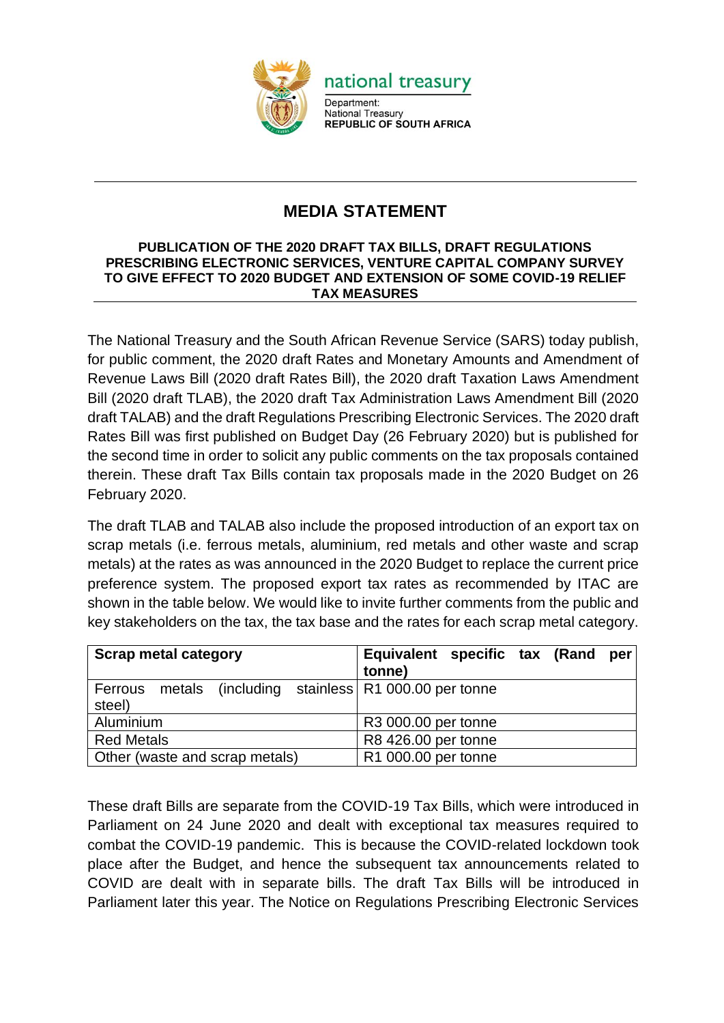

## **MEDIA STATEMENT**

## **PUBLICATION OF THE 2020 DRAFT TAX BILLS, DRAFT REGULATIONS PRESCRIBING ELECTRONIC SERVICES, VENTURE CAPITAL COMPANY SURVEY TO GIVE EFFECT TO 2020 BUDGET AND EXTENSION OF SOME COVID-19 RELIEF TAX MEASURES**

The National Treasury and the South African Revenue Service (SARS) today publish, for public comment, the 2020 draft Rates and Monetary Amounts and Amendment of Revenue Laws Bill (2020 draft Rates Bill), the 2020 draft Taxation Laws Amendment Bill (2020 draft TLAB), the 2020 draft Tax Administration Laws Amendment Bill (2020 draft TALAB) and the draft Regulations Prescribing Electronic Services. The 2020 draft Rates Bill was first published on Budget Day (26 February 2020) but is published for the second time in order to solicit any public comments on the tax proposals contained therein. These draft Tax Bills contain tax proposals made in the 2020 Budget on 26 February 2020.

The draft TLAB and TALAB also include the proposed introduction of an export tax on scrap metals (i.e. ferrous metals, aluminium, red metals and other waste and scrap metals) at the rates as was announced in the 2020 Budget to replace the current price preference system. The proposed export tax rates as recommended by ITAC are shown in the table below. We would like to invite further comments from the public and key stakeholders on the tax, the tax base and the rates for each scrap metal category.

| <b>Scrap metal category</b>                                | Equivalent specific tax (Rand<br>per<br>tonne) |
|------------------------------------------------------------|------------------------------------------------|
| metals (including stainless R1 000.00 per tonne<br>Ferrous |                                                |
| steel)                                                     |                                                |
| Aluminium                                                  | R3 000.00 per tonne                            |
| <b>Red Metals</b>                                          | R8 426.00 per tonne                            |
| Other (waste and scrap metals)                             | R1 000.00 per tonne                            |

These draft Bills are separate from the COVID-19 Tax Bills, which were introduced in Parliament on 24 June 2020 and dealt with exceptional tax measures required to combat the COVID-19 pandemic. This is because the COVID-related lockdown took place after the Budget, and hence the subsequent tax announcements related to COVID are dealt with in separate bills. The draft Tax Bills will be introduced in Parliament later this year. The Notice on Regulations Prescribing Electronic Services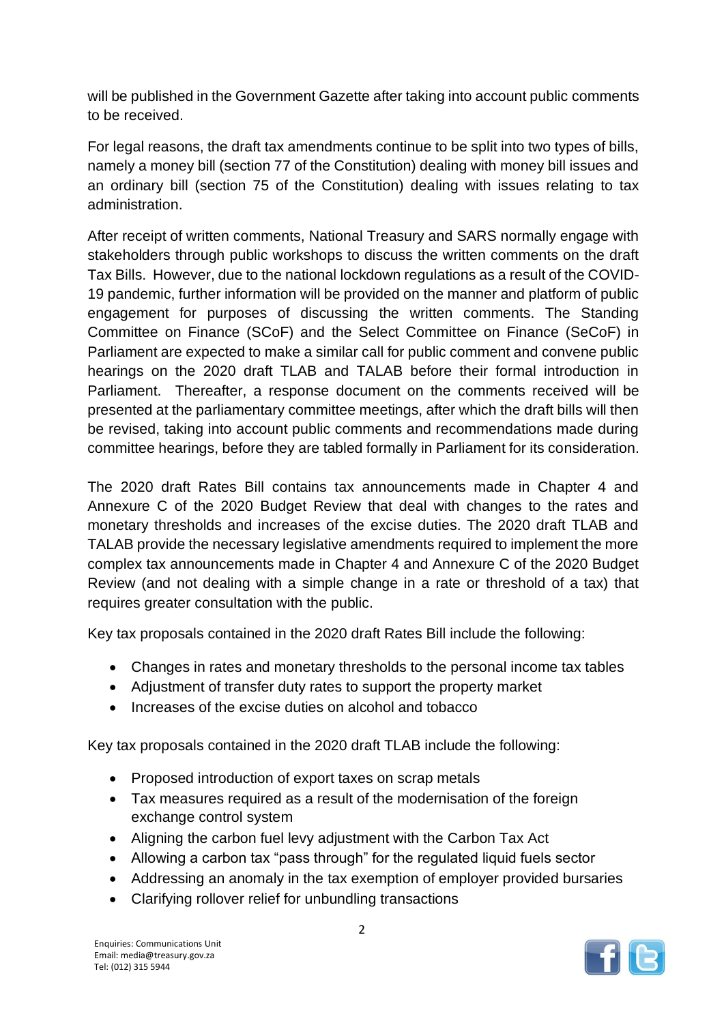will be published in the Government Gazette after taking into account public comments to be received.

For legal reasons, the draft tax amendments continue to be split into two types of bills, namely a money bill (section 77 of the Constitution) dealing with money bill issues and an ordinary bill (section 75 of the Constitution) dealing with issues relating to tax administration.

After receipt of written comments, National Treasury and SARS normally engage with stakeholders through public workshops to discuss the written comments on the draft Tax Bills. However, due to the national lockdown regulations as a result of the COVID-19 pandemic, further information will be provided on the manner and platform of public engagement for purposes of discussing the written comments. The Standing Committee on Finance (SCoF) and the Select Committee on Finance (SeCoF) in Parliament are expected to make a similar call for public comment and convene public hearings on the 2020 draft TLAB and TALAB before their formal introduction in Parliament. Thereafter, a response document on the comments received will be presented at the parliamentary committee meetings, after which the draft bills will then be revised, taking into account public comments and recommendations made during committee hearings, before they are tabled formally in Parliament for its consideration.

The 2020 draft Rates Bill contains tax announcements made in Chapter 4 and Annexure C of the 2020 Budget Review that deal with changes to the rates and monetary thresholds and increases of the excise duties. The 2020 draft TLAB and TALAB provide the necessary legislative amendments required to implement the more complex tax announcements made in Chapter 4 and Annexure C of the 2020 Budget Review (and not dealing with a simple change in a rate or threshold of a tax) that requires greater consultation with the public.

Key tax proposals contained in the 2020 draft Rates Bill include the following:

- Changes in rates and monetary thresholds to the personal income tax tables
- Adjustment of transfer duty rates to support the property market
- Increases of the excise duties on alcohol and tobacco

Key tax proposals contained in the 2020 draft TLAB include the following:

- Proposed introduction of export taxes on scrap metals
- Tax measures required as a result of the modernisation of the foreign exchange control system
- Aligning the carbon fuel levy adjustment with the Carbon Tax Act
- Allowing a carbon tax "pass through" for the regulated liquid fuels sector
- Addressing an anomaly in the tax exemption of employer provided bursaries
- Clarifying rollover relief for unbundling transactions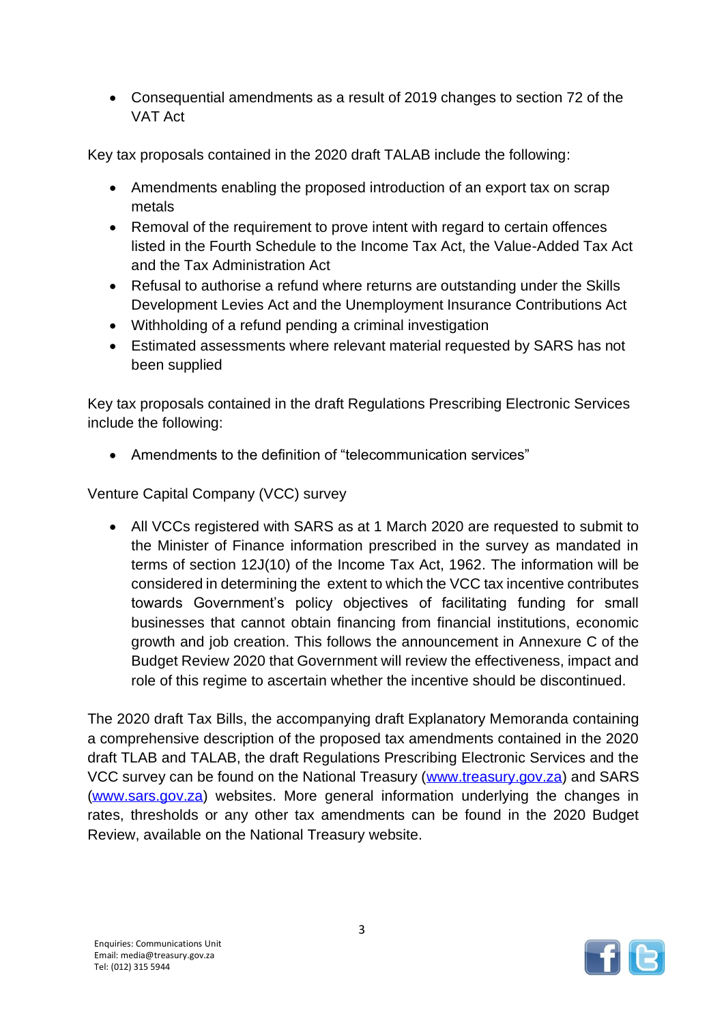• Consequential amendments as a result of 2019 changes to section 72 of the VAT Act

Key tax proposals contained in the 2020 draft TALAB include the following:

- Amendments enabling the proposed introduction of an export tax on scrap metals
- Removal of the requirement to prove intent with regard to certain offences listed in the Fourth Schedule to the Income Tax Act, the Value-Added Tax Act and the Tax Administration Act
- Refusal to authorise a refund where returns are outstanding under the Skills Development Levies Act and the Unemployment Insurance Contributions Act
- Withholding of a refund pending a criminal investigation
- Estimated assessments where relevant material requested by SARS has not been supplied

Key tax proposals contained in the draft Regulations Prescribing Electronic Services include the following:

• Amendments to the definition of "telecommunication services"

Venture Capital Company (VCC) survey

• All VCCs registered with SARS as at 1 March 2020 are requested to submit to the Minister of Finance information prescribed in the survey as mandated in terms of section 12J(10) of the Income Tax Act, 1962. The information will be considered in determining the extent to which the VCC tax incentive contributes towards Government's policy objectives of facilitating funding for small businesses that cannot obtain financing from financial institutions, economic growth and job creation. This follows the announcement in Annexure C of the Budget Review 2020 that Government will review the effectiveness, impact and role of this regime to ascertain whether the incentive should be discontinued.

The 2020 draft Tax Bills, the accompanying draft Explanatory Memoranda containing a comprehensive description of the proposed tax amendments contained in the 2020 draft TLAB and TALAB, the draft Regulations Prescribing Electronic Services and the VCC survey can be found on the National Treasury [\(www.treasury.gov.za\)](http://www.treasury.gov.za/) and SARS [\(www.sars.gov.za\)](http://www.sars.gov.za/) websites. More general information underlying the changes in rates, thresholds or any other tax amendments can be found in the 2020 Budget Review, available on the National Treasury website.

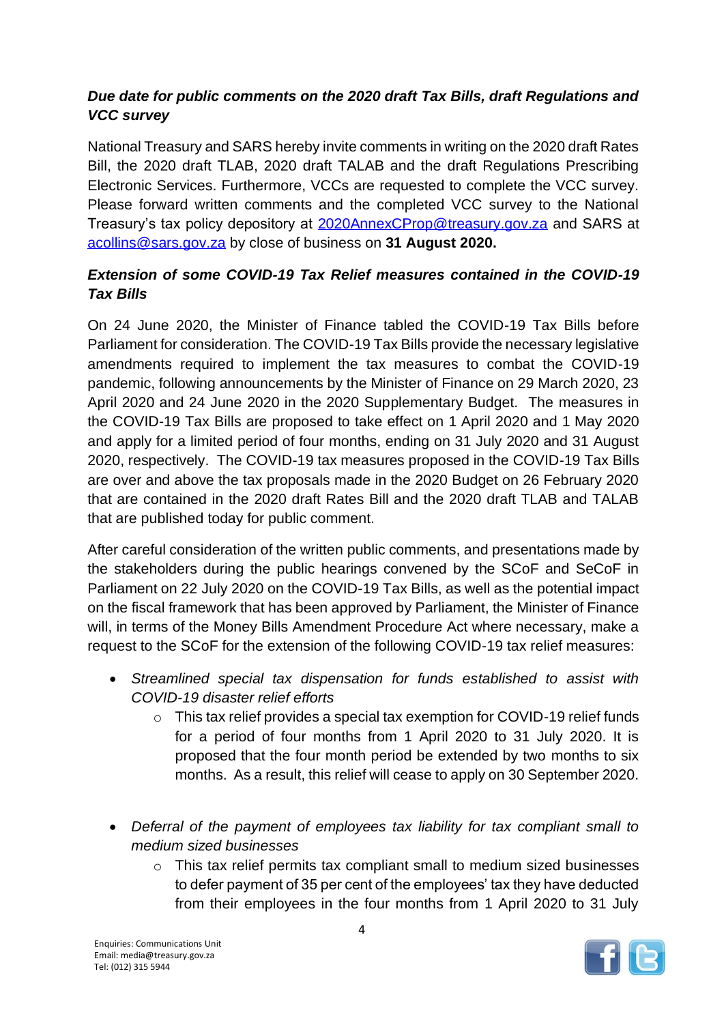## *Due date for public comments on the 2020 draft Tax Bills, draft Regulations and VCC survey*

National Treasury and SARS hereby invite comments in writing on the 2020 draft Rates Bill, the 2020 draft TLAB, 2020 draft TALAB and the draft Regulations Prescribing Electronic Services. Furthermore, VCCs are requested to complete the VCC survey. Please forward written comments and the completed VCC survey to the National Treasury's tax policy depository at [2020AnnexCProp@treasury.gov.za](mailto:2020AnnexCProp@treasury.gov.za) and SARS at [acollins@sars.gov.za](mailto:acollins@sars.gov.za) by close of business on **31 August 2020.**

## *Extension of some COVID-19 Tax Relief measures contained in the COVID-19 Tax Bills*

On 24 June 2020, the Minister of Finance tabled the COVID-19 Tax Bills before Parliament for consideration. The COVID-19 Tax Bills provide the necessary legislative amendments required to implement the tax measures to combat the COVID-19 pandemic, following announcements by the Minister of Finance on 29 March 2020, 23 April 2020 and 24 June 2020 in the 2020 Supplementary Budget. The measures in the COVID-19 Tax Bills are proposed to take effect on 1 April 2020 and 1 May 2020 and apply for a limited period of four months, ending on 31 July 2020 and 31 August 2020, respectively. The COVID-19 tax measures proposed in the COVID-19 Tax Bills are over and above the tax proposals made in the 2020 Budget on 26 February 2020 that are contained in the 2020 draft Rates Bill and the 2020 draft TLAB and TALAB that are published today for public comment.

After careful consideration of the written public comments, and presentations made by the stakeholders during the public hearings convened by the SCoF and SeCoF in Parliament on 22 July 2020 on the COVID-19 Tax Bills, as well as the potential impact on the fiscal framework that has been approved by Parliament, the Minister of Finance will, in terms of the Money Bills Amendment Procedure Act where necessary, make a request to the SCoF for the extension of the following COVID-19 tax relief measures:

- *Streamlined special tax dispensation for funds established to assist with COVID-19 disaster relief efforts*
	- $\circ$  This tax relief provides a special tax exemption for COVID-19 relief funds for a period of four months from 1 April 2020 to 31 July 2020. It is proposed that the four month period be extended by two months to six months. As a result, this relief will cease to apply on 30 September 2020.
- *Deferral of the payment of employees tax liability for tax compliant small to medium sized businesses*
	- $\circ$  This tax relief permits tax compliant small to medium sized businesses to defer payment of 35 per cent of the employees' tax they have deducted from their employees in the four months from 1 April 2020 to 31 July